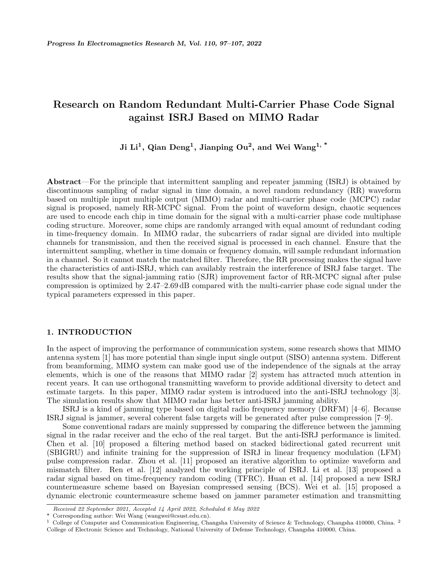# **Research on Random Redundant Multi-Carrier Phase Code Signal against ISRJ Based on MIMO Radar**

# **Ji Li<sup>1</sup> , Qian Deng<sup>1</sup> , Jianping Ou<sup>2</sup> , and Wei Wang1, \***

**Abstract**—For the principle that intermittent sampling and repeater jamming (ISRJ) is obtained by discontinuous sampling of radar signal in time domain, a novel random redundancy (RR) waveform based on multiple input multiple output (MIMO) radar and multi-carrier phase code (MCPC) radar signal is proposed, namely RR-MCPC signal. From the point of waveform design, chaotic sequences are used to encode each chip in time domain for the signal with a multi-carrier phase code multiphase coding structure. Moreover, some chips are randomly arranged with equal amount of redundant coding in time-frequency domain. In MIMO radar, the subcarriers of radar signal are divided into multiple channels for transmission, and then the received signal is processed in each channel. Ensure that the intermittent sampling, whether in time domain or frequency domain, will sample redundant information in a channel. So it cannot match the matched filter. Therefore, the RR processing makes the signal have the characteristics of anti-ISRJ, which can availably restrain the interference of ISRJ false target. The results show that the signal-jamming ratio (SJR) improvement factor of RR-MCPC signal after pulse compression is optimized by 2.47–2.69 dB compared with the multi-carrier phase code signal under the typical parameters expressed in this paper.

# **1. INTRODUCTION**

In the aspect of improving the performance of communication system, some research shows that MIMO antenna system [1] has more potential than single input single output (SISO) antenna system. Different from beamforming, MIMO system can make good use of the independence of the signals at the array elements, which is one of the reasons that MIMO radar [2] system has attracted much attention in recent years. It can use orthogonal transmitting waveform to provide additional diversity to detect and estimate targets. In this paper, MIMO radar system is introduced into the anti-ISRJ technology [3]. The simulation results show that MIMO radar has better anti-ISRJ jamming ability.

ISRJ is a kind of jamming type based on digital radio frequency memory (DRFM) [4–6]. Because ISRJ signal is jammer, several coherent false targets will be generated after pulse compression [7–9].

Some conventional radars are mainly suppressed by comparing the difference between the jamming signal in the radar receiver and the echo of the real target. But the anti-ISRJ performance is limited. Chen et al. [10] proposed a filtering method based on stacked bidirectional gated recurrent unit (SBIGRU) and infinite training for the suppression of ISRJ in linear frequency modulation (LFM) pulse compression radar. Zhou et al. [11] proposed an iterative algorithm to optimize waveform and mismatch filter. Ren et al. [12] analyzed the working principle of ISRJ. Li et al. [13] proposed a radar signal based on time-frequency random coding (TFRC). Huan et al. [14] proposed a new ISRJ countermeasure scheme based on Bayesian compressed sensing (BCS). Wei et al. [15] proposed a dynamic electronic countermeasure scheme based on jammer parameter estimation and transmitting

*Received 22 September 2021, Accepted 14 April 2022, Scheduled 6 May 2022*

Corresponding author: Wei Wang (wangwei@csust.edu.cn).

<sup>&</sup>lt;sup>1</sup> College of Computer and Communication Engineering, Changsha University of Science & Technology, Changsha 410000, China. <sup>2</sup> College of Electronic Science and Technology, National University of Defense Technology, Changsha 410000, China.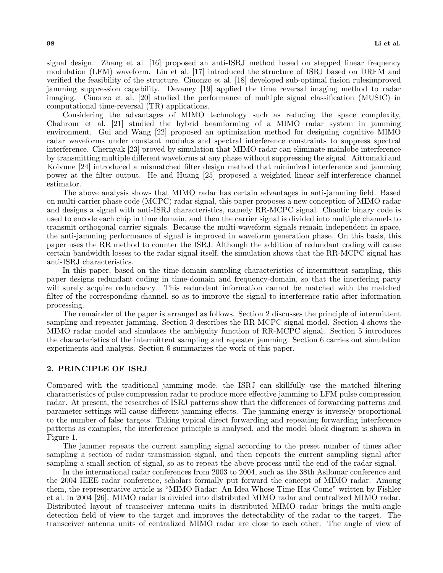signal design. Zhang et al. [16] proposed an anti-ISRJ method based on stepped linear frequency modulation (LFM) waveform. Liu et al. [17] introduced the structure of ISRJ based on DRFM and verified the feasibility of the structure. Ciuonzo et al. [18] developed sub-optimal fusion rulesimproved jamming suppression capability. Devaney [19] applied the time reversal imaging method to radar imaging. Ciuonzo et al. [20] studied the performance of multiple signal classification (MUSIC) in computational time-reversal (TR) applications.

Considering the advantages of MIMO technology such as reducing the space complexity, Chahrour et al. [21] studied the hybrid beamforming of a MIMO radar system in jamming environment. Gui and Wang [22] proposed an optimization method for designing cognitive MIMO radar waveforms under constant modulus and spectral interference constraints to suppress spectral interference. Chernyak [23] proved by simulation that MIMO radar can eliminate mainlobe interference by transmitting multiple different waveforms at any phase without suppressing the signal. Aittomaki and Koivune [24] introduced a mismatched filter design method that minimized interference and jamming power at the filter output. He and Huang [25] proposed a weighted linear self-interference channel estimator.

The above analysis shows that MIMO radar has certain advantages in anti-jamming field. Based on multi-carrier phase code (MCPC) radar signal, this paper proposes a new conception of MIMO radar and designs a signal with anti-ISRJ characteristics, namely RR-MCPC signal. Chaotic binary code is used to encode each chip in time domain, and then the carrier signal is divided into multiple channels to transmit orthogonal carrier signals. Because the multi-waveform signals remain independent in space, the anti-jamming performance of signal is improved in waveform generation phase. On this basis, this paper uses the RR method to counter the ISRJ. Although the addition of redundant coding will cause certain bandwidth losses to the radar signal itself, the simulation shows that the RR-MCPC signal has anti-ISRJ characteristics.

In this paper, based on the time-domain sampling characteristics of intermittent sampling, this paper designs redundant coding in time-domain and frequency-domain, so that the interfering party will surely acquire redundancy. This redundant information cannot be matched with the matched filter of the corresponding channel, so as to improve the signal to interference ratio after information processing.

The remainder of the paper is arranged as follows. Section 2 discusses the principle of intermittent sampling and repeater jamming. Section 3 describes the RR-MCPC signal model. Section 4 shows the MIMO radar model and simulates the ambiguity function of RR-MCPC signal. Section 5 introduces the characteristics of the intermittent sampling and repeater jamming. Section 6 carries out simulation experiments and analysis. Section 6 summarizes the work of this paper.

# **2. PRINCIPLE OF ISRJ**

Compared with the traditional jamming mode, the ISRJ can skillfully use the matched filtering characteristics of pulse compression radar to produce more effective jamming to LFM pulse compression radar. At present, the researches of ISRJ patterns show that the differences of forwarding patterns and parameter settings will cause different jamming effects. The jamming energy is inversely proportional to the number of false targets. Taking typical direct forwarding and repeating forwarding interference patterns as examples, the interference principle is analysed, and the model block diagram is shown in Figure 1.

The jammer repeats the current sampling signal according to the preset number of times after sampling a section of radar transmission signal, and then repeats the current sampling signal after sampling a small section of signal, so as to repeat the above process until the end of the radar signal.

In the international radar conferences from 2003 to 2004, such as the 38th Asilomar conference and the 2004 IEEE radar conference, scholars formally put forward the concept of MIMO radar. Among them, the representative article is "MIMO Radar: An Idea Whose Time Has Come" written by Fishler et al. in 2004 [26]. MIMO radar is divided into distributed MIMO radar and centralized MIMO radar. Distributed layout of transceiver antenna units in distributed MIMO radar brings the multi-angle detection field of view to the target and improves the detectability of the radar to the target. The transceiver antenna units of centralized MIMO radar are close to each other. The angle of view of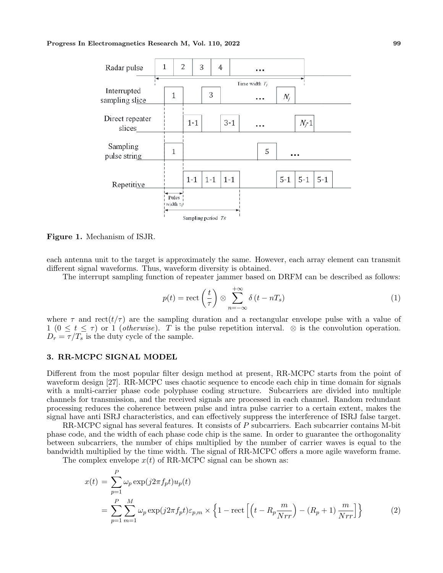#### **Progress In Electromagnetics Research M, Vol. 110, 2022 99**



**Figure 1.** Mechanism of ISJR.

each antenna unit to the target is approximately the same. However, each array element can transmit different signal waveforms. Thus, waveform diversity is obtained.

The interrupt sampling function of repeater jammer based on DRFM can be described as follows:

$$
p(t) = \text{rect}\left(\frac{t}{\tau}\right) \otimes \sum_{n=-\infty}^{+\infty} \delta\left(t - n_s\right) \tag{1}
$$

where  $\tau$  and rect( $t/\tau$ ) are the sampling duration and a rectangular envelope pulse with a value of 1 ( $0 \le t \le \tau$ ) or 1 (*otherwise*). *T* is the pulse repetition interval.  $\otimes$  is the convolution operation.  $D_r = \tau/T_s$  is the duty cycle of the sample.

# **3. RR-MCPC SIGNAL MODEL**

Different from the most popular filter design method at present, RR-MCPC starts from the point of waveform design [27]. RR-MCPC uses chaotic sequence to encode each chip in time domain for signals with a multi-carrier phase code polyphase coding structure. Subcarriers are divided into multiple channels for transmission, and the received signals are processed in each channel. Random redundant processing reduces the coherence between pulse and intra pulse carrier to a certain extent, makes the signal have anti ISRJ characteristics, and can effectively suppress the interference of ISRJ false target.

RR-MCPC signal has several features. It consists of P subcarriers. Each subcarrier contains M-bit phase code, and the width of each phase code chip is the same. In order to guarantee the orthogonality between subcarriers, the number of chips multiplied by the number of carrier waves is equal to the bandwidth multiplied by the time width. The signal of RR-MCPC offers a more agile waveform frame.

The complex envelope  $x(t)$  of RR-MCPC signal can be shown as:

$$
x(t) = \sum_{p=1}^{P} \omega_p \exp(j2\pi f_p t) u_p(t)
$$
  
= 
$$
\sum_{p=1}^{P} \sum_{m=1}^{M} \omega_p \exp(j2\pi f_p t) \varepsilon_{p,m} \times \left\{ 1 - \text{rect}\left[ \left( t - R_p \frac{m}{Nrr} \right) - (R_p + 1) \frac{m}{Nrr} \right] \right\}
$$
 (2)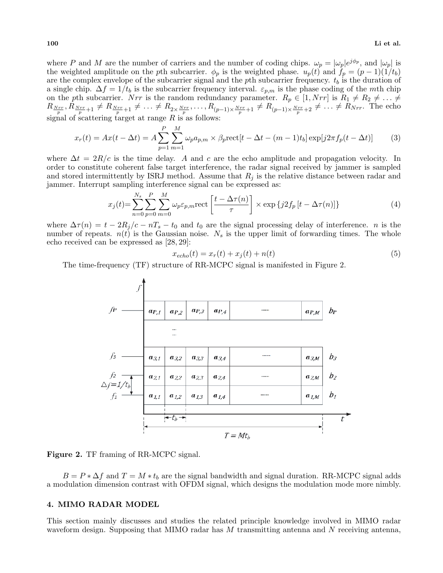where *P* and *M* are the number of carriers and the number of coding chips.  $\omega_p = |\omega_p|e^{j\phi_p}$ , and  $|\omega_p|$  is the weighted amplitude on the *p*th subcarrier.  $\phi_p$  is the weighted phase.  $u_p(t)$  and  $f_p = (p-1)(1/t_b)$ are the complex envelope of the subcarrier signal and the *p*th subcarrier frequency. *t<sup>b</sup>* is the duration of a single chip.  $\Delta f = 1/t_b$  is the subcarrier frequency interval.  $\varepsilon_{p,m}$  is the phase coding of the *m*th chip on the *p*th subcarrier. *Nrr* is the random redundancy parameter.  $R_p \in [1, Nrr]$  is  $R_1 \neq R_2 \neq \ldots \neq$  $R_{\frac{Nrr}{p}}, R_{\frac{Nrr}{p}+1} \neq R_{\frac{Nrr}{p}+1} \neq \ldots \neq R_{2 \times \frac{Nrr}{p}}, \ldots, R_{(p-1) \times \frac{Nrr}{p}+1} \neq R_{(p-1) \times \frac{Nrr}{p}+2} \neq \ldots \neq R_{Nrr}$ . The echo signal of scattering target at range *R* is as follows:

$$
x_r(t) = Ax(t - \Delta t) = A \sum_{p=1}^{P} \sum_{m=1}^{M} \omega_p a_{p,m} \times \beta_p \text{rect}[t - \Delta t - (m-1)t_b] \exp[j2\pi f_p(t - \Delta t)] \tag{3}
$$

where  $\Delta t = 2R/c$  is the time delay. A and c are the echo amplitude and propagation velocity. In order to constitute coherent false target interference, the radar signal received by jammer is sampled and stored intermittently by ISRJ method. Assume that  $R_j$  is the relative distance between radar and jammer. Interrupt sampling interference signal can be expressed as:

$$
x_j(t) = \sum_{n=0}^{N_s} \sum_{p=0}^{P} \sum_{m=0}^{M} \omega_p \varepsilon_{p,m} \text{rect}\left[\frac{t - \Delta \tau(n)}{\tau}\right] \times \exp\left\{j2f_p\left[t - \Delta \tau(n)\right]\right\} \tag{4}
$$

where  $\Delta \tau(n) = t - 2R_j/c - nT_s - t_0$  and  $t_0$  are the signal processing delay of interference. *n* is the number of repeats.  $n(t)$  is the Gaussian noise.  $N_s$  is the upper limit of forwarding times. The whole echo received can be expressed as [28, 29]:

$$
x_{echo}(t) = x_r(t) + x_j(t) + n(t)
$$
\n
$$
(5)
$$

The time-frequency (TF) structure of RR-MCPC signal is manifested in Figure 2.



**Figure 2.** TF framing of RR-MCPC signal.

 $B = P * \Delta f$  and  $T = M * t_b$  are the signal bandwidth and signal duration. RR-MCPC signal adds a modulation dimension contrast with OFDM signal, which designs the modulation mode more nimbly.

# **4. MIMO RADAR MODEL**

This section mainly discusses and studies the related principle knowledge involved in MIMO radar waveform design. Supposing that MIMO radar has *M* transmitting antenna and *N* receiving antenna,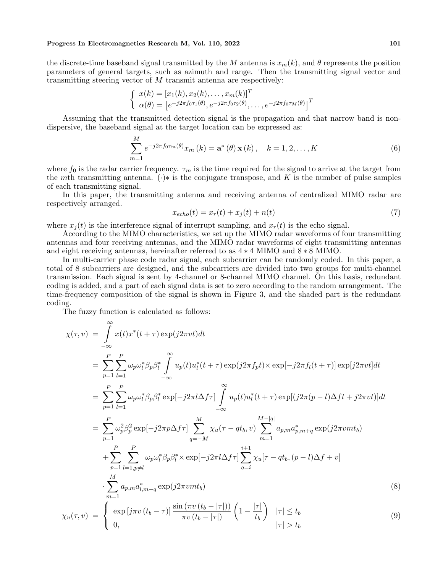#### **Progress In Electromagnetics Research M, Vol. 110, 2022 101**

the discrete-time baseband signal transmitted by the *M* antenna is  $x_m(k)$ , and  $\theta$  represents the position parameters of general targets, such as azimuth and range. Then the transmitting signal vector and transmitting steering vector of *M* transmit antenna are respectively:

$$
\begin{cases}\n x(k) = [x_1(k), x_2(k), \dots, x_m(k)]^T \\
\alpha(\theta) = [e^{-j2\pi f_0 \tau_1(\theta)}, e^{-j2\pi f_0 \tau_2(\theta)}, \dots, e^{-j2\pi f_0 \tau_M(\theta)}]^T\n\end{cases}
$$

Assuming that the transmitted detection signal is the propagation and that narrow band is nondispersive, the baseband signal at the target location can be expressed as:

$$
\sum_{m=1}^{M} e^{-j2\pi f_0 \tau_m(\theta)} x_m(k) = \mathbf{a}^*(\theta) \mathbf{x}(k), \quad k = 1, 2, ..., K
$$
 (6)

where  $f_0$  is the radar carrier frequency.  $\tau_m$  is the time required for the signal to arrive at the target from the *m*th transmitting antenna.  $(\cdot)$ <sup>\*</sup> is the conjugate transpose, and K is the number of pulse samples of each transmitting signal.

In this paper, the transmitting antenna and receiving antenna of centralized MIMO radar are respectively arranged.

$$
x_{echo}(t) = x_r(t) + x_j(t) + n(t)
$$
\n
$$
(7)
$$

where  $x_j(t)$  is the interference signal of interrupt sampling, and  $x_r(t)$  is the echo signal.

According to the MIMO characteristics, we set up the MIMO radar waveforms of four transmitting antennas and four receiving antennas, and the MIMO radar waveforms of eight transmitting antennas and eight receiving antennas, hereinafter referred to as 4 *∗* 4 MIMO and 8 *∗* 8 MIMO.

In multi-carrier phase code radar signal, each subcarrier can be randomly coded. In this paper, a total of 8 subcarriers are designed, and the subcarriers are divided into two groups for multi-channel transmission. Each signal is sent by 4-channel or 8-channel MIMO channel. On this basis, redundant coding is added, and a part of each signal data is set to zero according to the random arrangement. The time-frequency composition of the signal is shown in Figure 3, and the shaded part is the redundant coding.

The fuzzy function is calculated as follows:

$$
\chi(\tau, v) = \int_{-\infty}^{\infty} x(t)x^{*}(t+\tau) \exp(j2\pi vt)dt
$$
\n
$$
= \sum_{p=1}^{P} \sum_{l=1}^{P} \omega_{p}\omega_{l}^{*}\beta_{p}\beta_{l}^{*} \int_{-\infty}^{\infty} u_{p}(t)u_{l}^{*}(t+\tau) \exp(j2\pi f_{p}t) \times \exp[-j2\pi f_{l}(t+\tau)] \exp[j2\pi vt]dt
$$
\n
$$
= \sum_{p=1}^{P} \sum_{l=1}^{P} \omega_{p}\omega_{l}^{*}\beta_{p}\beta_{l}^{*} \exp[-j2\pi l\Delta f\tau] \int_{-\infty}^{\infty} u_{p}(t)u_{l}^{*}(t+\tau) \exp[(j2\pi(p-l)\Delta ft + j2\pi vt)]dt
$$
\n
$$
= \sum_{p=1}^{P} \omega_{p}^{2}\beta_{p}^{2} \exp[-j2\pi p\Delta f\tau] \sum_{q=-M}^{M} \chi_{u}(\tau - qt_{b}, v) \sum_{m=1}^{M-|q|} a_{p,m}a_{p,m+q}^{*} \exp(j2\pi vmt_{b})
$$
\n
$$
+ \sum_{p=1}^{P} \sum_{l=1, p\neq l}^{P} \omega_{p}\omega_{l}^{*}\beta_{p}\beta_{l}^{*} \times \exp[-j2\pi l\Delta f\tau] \sum_{q=i}^{i+1} \chi_{u}[\tau - qt_{b}, (p-l)\Delta f + v]
$$
\n
$$
\cdot \sum_{m=1}^{M} a_{p,m}a_{l,m+q}^{*} \exp(j2\pi vmt_{b})
$$
\n
$$
\chi_{u}(\tau, v) = \begin{cases} \exp[j\pi v(t_{b}-\tau)] \frac{\sin(\pi v(t_{b}-|\tau|))}{\pi v(t_{b}-|\tau|)} (1-\frac{|\tau|}{t_{b}}) & |\tau| \leq t_{b} \\ 0, & |\tau| > t_{b} \end{cases}
$$
\n(9)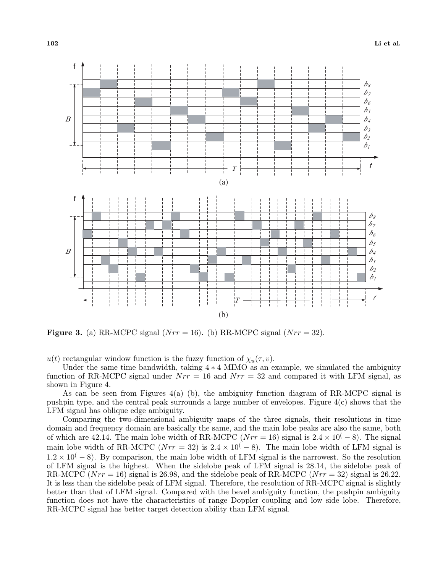

**Figure 3.** (a) RR-MCPC signal  $(Nrr = 16)$ . (b) RR-MCPC signal  $(Nrr = 32)$ .

 $u(t)$  rectangular window function is the fuzzy function of  $\chi_u(\tau, v)$ .

Under the same time bandwidth, taking 4 *∗* 4 MIMO as an example, we simulated the ambiguity function of RR-MCPC signal under  $Nrr = 16$  and  $Nrr = 32$  and compared it with LFM signal, as shown in Figure 4.

As can be seen from Figures 4(a) (b), the ambiguity function diagram of RR-MCPC signal is pushpin type, and the central peak surrounds a large number of envelopes. Figure 4(c) shows that the LFM signal has oblique edge ambiguity.

Comparing the two-dimensional ambiguity maps of the three signals, their resolutions in time domain and frequency domain are basically the same, and the main lobe peaks are also the same, both of which are 42.14. The main lobe width of RR-MCPC ( $Nrr = 16$ ) signal is  $2.4 \times 10^{(-8)}$ . The signal main lobe width of RR-MCPC ( $Nrr = 32$ ) is  $2.4 \times 10^{(-8)}$ ). The main lobe width of LFM signal is 1*.*2 *×* 10( *−* 8). By comparison, the main lobe width of LFM signal is the narrowest. So the resolution of LFM signal is the highest. When the sidelobe peak of LFM signal is 28.14, the sidelobe peak of RR-MCPC (*Nrr* = 16) signal is 26.98, and the sidelobe peak of RR-MCPC (*Nrr* = 32) signal is 26.22. It is less than the sidelobe peak of LFM signal. Therefore, the resolution of RR-MCPC signal is slightly better than that of LFM signal. Compared with the bevel ambiguity function, the pushpin ambiguity function does not have the characteristics of range Doppler coupling and low side lobe. Therefore, RR-MCPC signal has better target detection ability than LFM signal.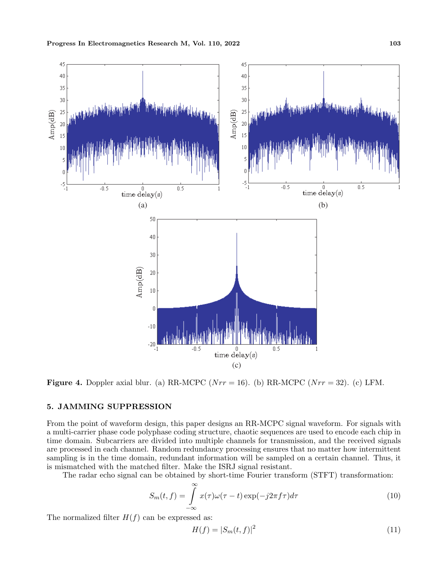

**Figure 4.** Doppler axial blur. (a) RR-MCPC ( $Nrr = 16$ ). (b) RR-MCPC ( $Nrr = 32$ ). (c) LFM.

# **5. JAMMING SUPPRESSION**

From the point of waveform design, this paper designs an RR-MCPC signal waveform. For signals with a multi-carrier phase code polyphase coding structure, chaotic sequences are used to encode each chip in time domain. Subcarriers are divided into multiple channels for transmission, and the received signals are processed in each channel. Random redundancy processing ensures that no matter how intermittent sampling is in the time domain, redundant information will be sampled on a certain channel. Thus, it is mismatched with the matched filter. Make the ISRJ signal resistant.

The radar echo signal can be obtained by short-time Fourier transform (STFT) transformation:

$$
S_m(t,f) = \int_{-\infty}^{\infty} x(\tau)\omega(\tau - t) \exp(-j2\pi f\tau) d\tau
$$
\n(10)

The normalized filter  $H(f)$  can be expressed as:

$$
H(f) = |S_m(t, f)|^2
$$
\n(11)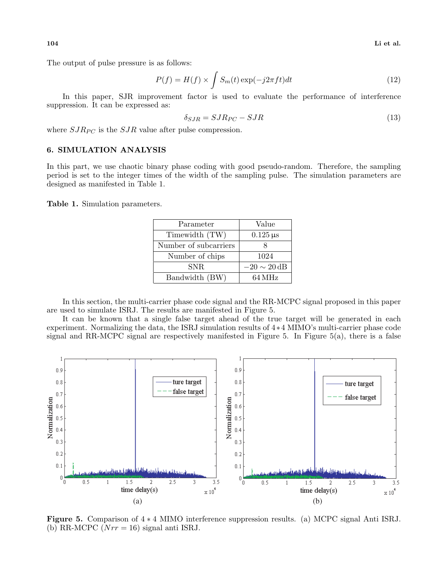**104 Li et al.**

The output of pulse pressure is as follows:

$$
P(f) = H(f) \times \int S_m(t) \exp(-j2\pi ft) dt
$$
\n(12)

In this paper, SJR improvement factor is used to evaluate the performance of interference suppression. It can be expressed as:

$$
\delta_{SJR} = SJR_{PC} - SJR \tag{13}
$$

where  $SJR_{PC}$  is the  $SJR$  value after pulse compression.

# **6. SIMULATION ANALYSIS**

In this part, we use chaotic binary phase coding with good pseudo-random. Therefore, the sampling period is set to the integer times of the width of the sampling pulse. The simulation parameters are designed as manifested in Table 1.

**Table 1.** Simulation parameters.

| Parameter             | Value            |
|-----------------------|------------------|
| Timewidth (TW)        | $0.125 \,\mu s$  |
| Number of subcarriers |                  |
| Number of chips       | 1024             |
| SNR.                  | $-20 \sim 20$ dB |
| Bandwidth (BW)        | 64 MHz           |

In this section, the multi-carrier phase code signal and the RR-MCPC signal proposed in this paper are used to simulate ISRJ. The results are manifested in Figure 5.

It can be known that a single false target ahead of the true target will be generated in each experiment. Normalizing the data, the ISRJ simulation results of 4 *∗*4 MIMO's multi-carrier phase code signal and RR-MCPC signal are respectively manifested in Figure 5. In Figure 5(a), there is a false



**Figure 5.** Comparison of 4 *∗* 4 MIMO interference suppression results. (a) MCPC signal Anti ISRJ. (b) RR-MCPC (*Nrr* = 16) signal anti ISRJ.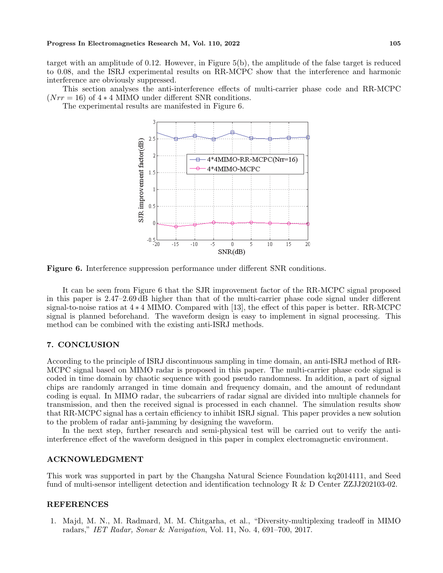target with an amplitude of 0.12. However, in Figure 5(b), the amplitude of the false target is reduced to 0.08, and the ISRJ experimental results on RR-MCPC show that the interference and harmonic interference are obviously suppressed.

This section analyses the anti-interference effects of multi-carrier phase code and RR-MCPC (*Nrr* = 16) of 4 *∗* 4 MIMO under different SNR conditions.

The experimental results are manifested in Figure 6.



**Figure 6.** Interference suppression performance under different SNR conditions.

It can be seen from Figure 6 that the SJR improvement factor of the RR-MCPC signal proposed in this paper is 2.47–2.69 dB higher than that of the multi-carrier phase code signal under different signal-to-noise ratios at 4 *∗* 4 MIMO. Compared with [13], the effect of this paper is better. RR-MCPC signal is planned beforehand. The waveform design is easy to implement in signal processing. This method can be combined with the existing anti-ISRJ methods.

# **7. CONCLUSION**

According to the principle of ISRJ discontinuous sampling in time domain, an anti-ISRJ method of RR-MCPC signal based on MIMO radar is proposed in this paper. The multi-carrier phase code signal is coded in time domain by chaotic sequence with good pseudo randomness. In addition, a part of signal chips are randomly arranged in time domain and frequency domain, and the amount of redundant coding is equal. In MIMO radar, the subcarriers of radar signal are divided into multiple channels for transmission, and then the received signal is processed in each channel. The simulation results show that RR-MCPC signal has a certain efficiency to inhibit ISRJ signal. This paper provides a new solution to the problem of radar anti-jamming by designing the waveform.

In the next step, further research and semi-physical test will be carried out to verify the antiinterference effect of the waveform designed in this paper in complex electromagnetic environment.

# **ACKNOWLEDGMENT**

This work was supported in part by the Changsha Natural Science Foundation kq2014111, and Seed fund of multi-sensor intelligent detection and identification technology R & D Center ZZJJ202103-02.

# **REFERENCES**

1. Majd, M. N., M. Radmard, M. M. Chitgarha, et al., "Diversity-multiplexing tradeoff in MIMO radars," *IET Radar, Sonar* & *Navigation*, Vol. 11, No. 4, 691–700, 2017.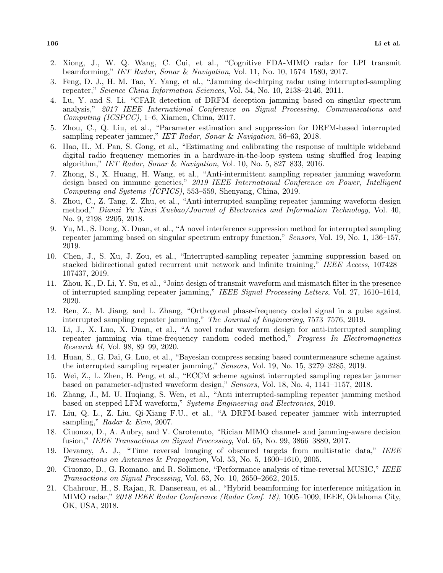- 2. Xiong, J., W. Q. Wang, C. Cui, et al., "Cognitive FDA-MIMO radar for LPI transmit beamforming," *IET Radar, Sonar* & *Navigation*, Vol. 11, No. 10, 1574–1580, 2017.
- 3. Feng, D. J., H. M. Tao, Y. Yang, et al., "Jamming de-chirping radar using interrupted-sampling repeater," *Science China Information Sciences*, Vol. 54, No. 10, 2138–2146, 2011.
- 4. Lu, Y. and S. Li, "CFAR detection of DRFM deception jamming based on singular spectrum analysis," *2017 IEEE International Conference on Signal Processing, Communications and Computing (ICSPCC)*, 1–6, Xiamen, China, 2017.
- 5. Zhou, C., Q. Liu, et al., "Parameter estimation and suppression for DRFM-based interrupted sampling repeater jammer," *IET Radar, Sonar* & *Navigation*, 56–63, 2018.
- 6. Hao, H., M. Pan, S. Gong, et al., "Estimating and calibrating the response of multiple wideband digital radio frequency memories in a hardware-in-the-loop system using shuffled frog leaping algorithm," *IET Radar, Sonar* & *Navigation*, Vol. 10, No. 5, 827–833, 2016.
- 7. Zhong, S., X. Huang, H. Wang, et al., "Anti-intermittent sampling repeater jamming waveform design based on immune genetics," *2019 IEEE International Conference on Power, Intelligent Computing and Systems (ICPICS)*, 553–559, Shenyang, China, 2019.
- 8. Zhou, C., Z. Tang, Z. Zhu, et al., "Anti-interrupted sampling repeater jamming waveform design method," *Dianzi Yu Xinxi Xuebao/Journal of Electronics and Information Technology*, Vol. 40, No. 9, 2198–2205, 2018.
- 9. Yu, M., S. Dong, X. Duan, et al., "A novel interference suppression method for interrupted sampling repeater jamming based on singular spectrum entropy function," *Sensors*, Vol. 19, No. 1, 136–157, 2019.
- 10. Chen, J., S. Xu, J. Zou, et al., "Interrupted-sampling repeater jamming suppression based on stacked bidirectional gated recurrent unit network and infinite training," *IEEE Access*, 107428– 107437, 2019.
- 11. Zhou, K., D. Li, Y. Su, et al., "Joint design of transmit waveform and mismatch filter in the presence of interrupted sampling repeater jamming," *IEEE Signal Processing Letters*, Vol. 27, 1610–1614, 2020.
- 12. Ren, Z., M. Jiang, and L. Zhang, "Orthogonal phase-frequency coded signal in a pulse against interrupted sampling repeater jamming," *The Journal of Engineering*, 7573–7576, 2019.
- 13. Li, J., X. Luo, X. Duan, et al., "A novel radar waveform design for anti-interrupted sampling repeater jamming via time-frequency random coded method," *Progress In Electromagnetics Research M*, Vol. 98, 89–99, 2020.
- 14. Huan, S., G. Dai, G. Luo, et al., "Bayesian compress sensing based countermeasure scheme against the interrupted sampling repeater jamming," *Sensors*, Vol. 19, No. 15, 3279–3285, 2019.
- 15. Wei, Z., L. Zhen, B. Peng, et al., "ECCM scheme against interrupted sampling repeater jammer based on parameter-adjusted waveform design," *Sensors*, Vol. 18, No. 4, 1141–1157, 2018.
- 16. Zhang, J., M. U. Huqiang, S. Wen, et al., "Anti interrupted-sampling repeater jamming method based on stepped LFM waveform," *Systems Engineering and Electronics*, 2019.
- 17. Liu, Q. L., Z. Liu, Qi-Xiang F.U., et al., "A DRFM-based repeater jammer with interrupted sampling," *Radar* & *Ecm*, 2007.
- 18. Ciuonzo, D., A. Aubry, and V. Carotenuto, "Rician MIMO channel- and jamming-aware decision fusion," *IEEE Transactions on Signal Processing*, Vol. 65, No. 99, 3866–3880, 2017.
- 19. Devaney, A. J., "Time reversal imaging of obscured targets from multistatic data," *IEEE Transactions on Antennas* & *Propagation*, Vol. 53, No. 5, 1600–1610, 2005.
- 20. Ciuonzo, D., G. Romano, and R. Solimene, "Performance analysis of time-reversal MUSIC," *IEEE Transactions on Signal Processing*, Vol. 63, No. 10, 2650–2662, 2015.
- 21. Chahrour, H., S. Rajan, R. Dansereau, et al., "Hybrid beamforming for interference mitigation in MIMO radar," *2018 IEEE Radar Conference (Radar Conf. 18)*, 1005–1009, IEEE, Oklahoma City, OK, USA, 2018.